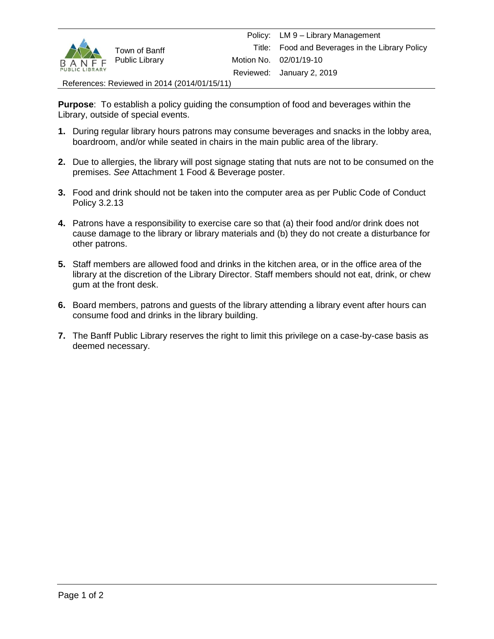

References: Reviewed in 2014 (2014/01/15/11)

**Purpose**: To establish a policy guiding the consumption of food and beverages within the Library, outside of special events.

- **1.** During regular library hours patrons may consume beverages and snacks in the lobby area, boardroom, and/or while seated in chairs in the main public area of the library.
- **2.** Due to allergies, the library will post signage stating that nuts are not to be consumed on the premises. *See* Attachment 1 Food & Beverage poster.
- **3.** Food and drink should not be taken into the computer area as per Public Code of Conduct Policy 3.2.13
- **4.** Patrons have a responsibility to exercise care so that (a) their food and/or drink does not cause damage to the library or library materials and (b) they do not create a disturbance for other patrons.
- **5.** Staff members are allowed food and drinks in the kitchen area, or in the office area of the library at the discretion of the Library Director. Staff members should not eat, drink, or chew gum at the front desk.
- **6.** Board members, patrons and guests of the library attending a library event after hours can consume food and drinks in the library building.
- **7.** The Banff Public Library reserves the right to limit this privilege on a case-by-case basis as deemed necessary.